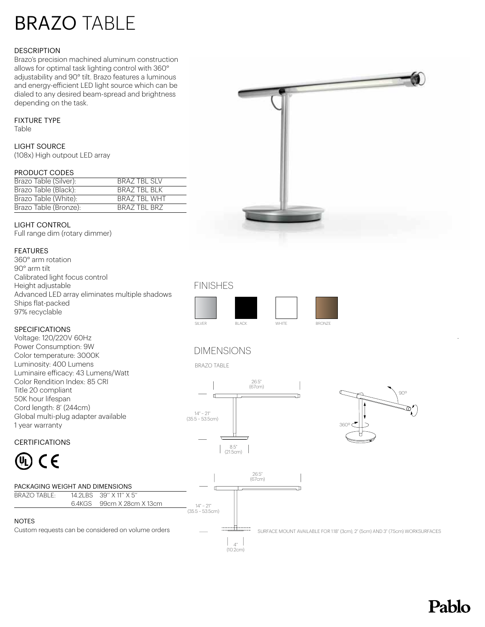# BRAZO TABLE

#### **DESCRIPTION**

Brazo's precision machined aluminum construction allows for optimal task lighting control with 360° adjustability and 90° tilt. Brazo features a luminous and energy-efficient LED light source which can be dialed to any desired beam-spread and brightness depending on the task.

## FIXTURE TYPE

Table

## LIGHT SOURCE

(108x) High outpout LED array

#### PRODUCT CODES

| Brazo Table (Silver): | BRAZ TBL SLV        |
|-----------------------|---------------------|
| Brazo Table (Black):  | BRAZ TBL BLK        |
| Brazo Table (White):  | <b>BRAZ TBL WHT</b> |
| Brazo Table (Bronze): | BRAZ TBL BRZ        |

## LIGHT CONTROL

Full range dim (rotary dimmer)

## FEATURES

360° arm rotation 90° arm tilt Calibrated light focus control Height adjustable Advanced LED array eliminates multiple shadows Ships flat-packed 97% recyclable

## SPECIFICATIONS

Title 20 compliant 50K hour lifespan Cord length: 8' (244cm)

1 year warranty

CERTIFICATIONS

Voltage: 120/220V 60Hz Power Consumption: 9W Color temperature: 3000K Luminosity: 400 Lumens

Luminaire efficacy: 43 Lumens/Watt Color Rendition Index: 85 CRI

Global multi-plug adapter available



# FINISHES



# DIMENSIONS

BRAZO TABLE



 $\begin{array}{c|c} \hline \end{array}$ (10.2cm)



SURFACE MOUNT AVAILABLE FOR 1.18" (3cm), 2" (5cm) AND 3" (7.5cm) WORKSURFACES

# CE

# PACKAGING WEIGHT AND DIMENSIONS

BRAZO TABLE: 14.2LBS 39" X 11" X 5" 6.4KGS 99cm X 28cm X 13cm

#### **NOTES**

Custom requests can be considered on volume orders